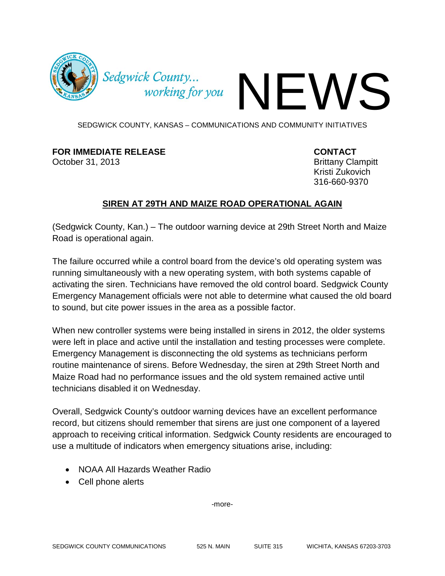

Sedgwick County...

SEDGWICK COUNTY, KANSAS – COMMUNICATIONS AND COMMUNITY INITIATIVES

## **FOR IMMEDIATE RELEASE CONTACT**

October 31, 2013 **Brittany Clampitt** 

Kristi Zukovich 316-660-9370

## **SIREN AT 29TH AND MAIZE ROAD OPERATIONAL AGAIN**

(Sedgwick County, Kan.) – The outdoor warning device at 29th Street North and Maize Road is operational again.

The failure occurred while a control board from the device's old operating system was running simultaneously with a new operating system, with both systems capable of activating the siren. Technicians have removed the old control board. Sedgwick County Emergency Management officials were not able to determine what caused the old board to sound, but cite power issues in the area as a possible factor.

When new controller systems were being installed in sirens in 2012, the older systems were left in place and active until the installation and testing processes were complete. Emergency Management is disconnecting the old systems as technicians perform routine maintenance of sirens. Before Wednesday, the siren at 29th Street North and Maize Road had no performance issues and the old system remained active until technicians disabled it on Wednesday.

Overall, Sedgwick County's outdoor warning devices have an excellent performance record, but citizens should remember that sirens are just one component of a layered approach to receiving critical information. Sedgwick County residents are encouraged to use a multitude of indicators when emergency situations arise, including:

- NOAA All Hazards Weather Radio
- Cell phone alerts

-more-